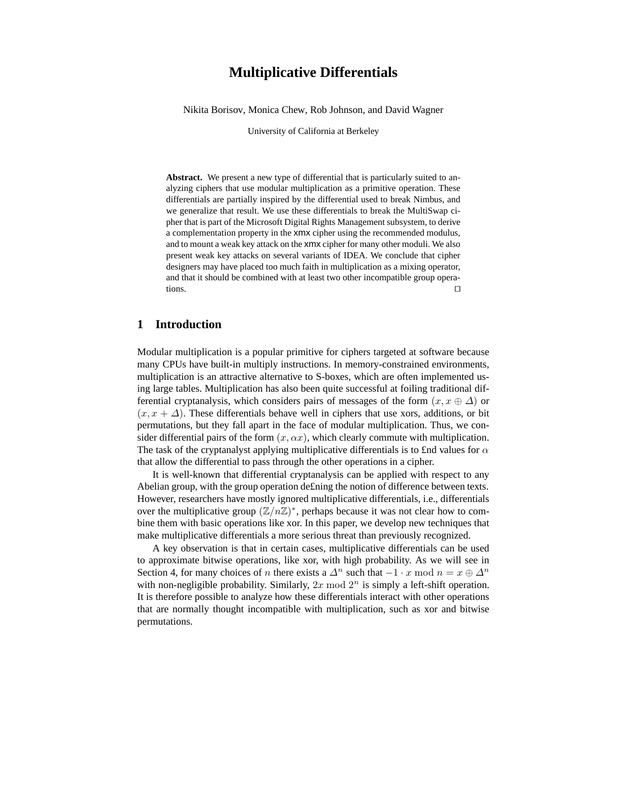# **Multiplicative Differentials**

Nikita Borisov, Monica Chew, Rob Johnson, and David Wagner

University of California at Berkeley

**Abstract.** We present a new type of differential that is particularly suited to analyzing ciphers that use modular multiplication as a primitive operation. These differentials are partially inspired by the differential used to break Nimbus, and we generalize that result. We use these differentials to break the MultiSwap cipher that is part of the Microsoft Digital Rights Management subsystem, to derive a complementation property in the xmx cipher using the recommended modulus, and to mount a weak key attack on the xmx cipher for many other moduli. We also present weak key attacks on several variants of IDEA. We conclude that cipher designers may have placed too much faith in multiplication as a mixing operator, and that it should be combined with at least two other incompatible group operations.  $\Box$ 

### **1 Introduction**

Modular multiplication is a popular primitive for ciphers targeted at software because many CPUs have built-in multiply instructions. In memory-constrained environments, multiplication is an attractive alternative to S-boxes, which are often implemented using large tables. Multiplication has also been quite successful at foiling traditional differential cryptanalysis, which considers pairs of messages of the form  $(x, x \oplus \Delta)$  or  $(x, x + \Delta)$ . These differentials behave well in ciphers that use xors, additions, or bit permutations, but they fall apart in the face of modular multiplication. Thus, we consider differential pairs of the form  $(x, \alpha x)$ , which clearly commute with multiplication. The task of the cryptanalyst applying multiplicative differentials is to £nd values for  $\alpha$ that allow the differential to pass through the other operations in a cipher.

It is well-known that differential cryptanalysis can be applied with respect to any Abelian group, with the group operation de£ning the notion of difference between texts. However, researchers have mostly ignored multiplicative differentials, i.e., differentials over the multiplicative group  $(\mathbb{Z}/n\mathbb{Z})^*$ , perhaps because it was not clear how to combine them with basic operations like xor. In this paper, we develop new techniques that make multiplicative differentials a more serious threat than previously recognized.

A key observation is that in certain cases, multiplicative differentials can be used to approximate bitwise operations, like xor, with high probability. As we will see in Section 4, for many choices of n there exists a  $\Delta^n$  such that  $-1 \cdot x \mod n = x \oplus \Delta^n$ with non-negligible probability. Similarly,  $2x \mod 2^n$  is simply a left-shift operation. It is therefore possible to analyze how these differentials interact with other operations that are normally thought incompatible with multiplication, such as xor and bitwise permutations.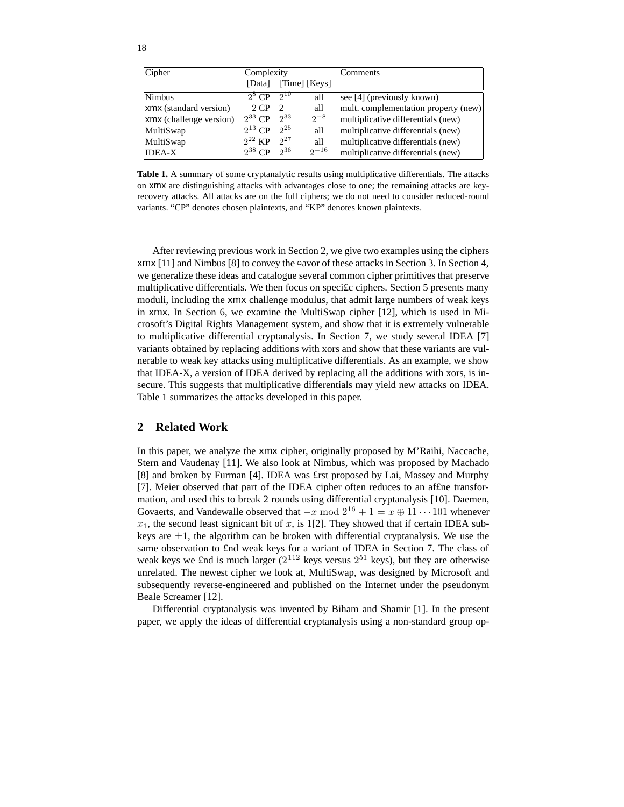| Cipher                         | Complexity  |                       | Comments                             |
|--------------------------------|-------------|-----------------------|--------------------------------------|
|                                | [Data]      | [Time] [Keys]         |                                      |
| <b>Nimbus</b>                  | $2^8$ CP    | $2^{10}$<br>all       | see [4] (previously known)           |
| <b>xmx</b> (standard version)  | 2CP         | all<br>$\mathcal{D}$  | mult. complementation property (new) |
| <b>xmx</b> (challenge version) | $2^{33}$ CP | $2^{-8}$<br>$2^{33}$  | multiplicative differentials (new)   |
| MultiSwap                      | $2^{13}$ CP | $2^{25}$<br>all       | multiplicative differentials (new)   |
| MultiSwap                      | $2^{22}$ KP | $2^{27}$<br>all       | multiplicative differentials (new)   |
| <b>IDEA-X</b>                  | $2^{38}$ CP | $2^{-16}$<br>$2^{36}$ | multiplicative differentials (new)   |

**Table 1.** A summary of some cryptanalytic results using multiplicative differentials. The attacks on xmx are distinguishing attacks with advantages close to one; the remaining attacks are keyrecovery attacks. All attacks are on the full ciphers; we do not need to consider reduced-round variants. "CP" denotes chosen plaintexts, and "KP" denotes known plaintexts.

After reviewing previous work in Section 2, we give two examples using the ciphers xmx [11] and Nimbus [8] to convey the ¤avor of these attacks in Section 3. In Section 4, we generalize these ideas and catalogue several common cipher primitives that preserve multiplicative differentials. We then focus on speci£c ciphers. Section 5 presents many moduli, including the xmx challenge modulus, that admit large numbers of weak keys in xmx. In Section 6, we examine the MultiSwap cipher [12], which is used in Microsoft's Digital Rights Management system, and show that it is extremely vulnerable to multiplicative differential cryptanalysis. In Section 7, we study several IDEA [7] variants obtained by replacing additions with xors and show that these variants are vulnerable to weak key attacks using multiplicative differentials. As an example, we show that IDEA-X, a version of IDEA derived by replacing all the additions with xors, is insecure. This suggests that multiplicative differentials may yield new attacks on IDEA. Table 1 summarizes the attacks developed in this paper.

### **2 Related Work**

In this paper, we analyze the xmx cipher, originally proposed by M'Raihi, Naccache, Stern and Vaudenay [11]. We also look at Nimbus, which was proposed by Machado [8] and broken by Furman [4]. IDEA was £rst proposed by Lai, Massey and Murphy [7]. Meier observed that part of the IDEA cipher often reduces to an af£ne transformation, and used this to break 2 rounds using differential cryptanalysis [10]. Daemen, Govaerts, and Vandewalle observed that  $-x \mod 2^{16} + 1 = x \oplus 11 \cdots 101$  whenever  $x_1$ , the second least signicant bit of x, is 1[2]. They showed that if certain IDEA subkeys are  $\pm 1$ , the algorithm can be broken with differential cryptanalysis. We use the same observation to £nd weak keys for a variant of IDEA in Section 7. The class of weak keys we £nd is much larger  $(2^{112}$  keys versus  $2^{51}$  keys), but they are otherwise unrelated. The newest cipher we look at, MultiSwap, was designed by Microsoft and subsequently reverse-engineered and published on the Internet under the pseudonym Beale Screamer [12].

Differential cryptanalysis was invented by Biham and Shamir [1]. In the present paper, we apply the ideas of differential cryptanalysis using a non-standard group op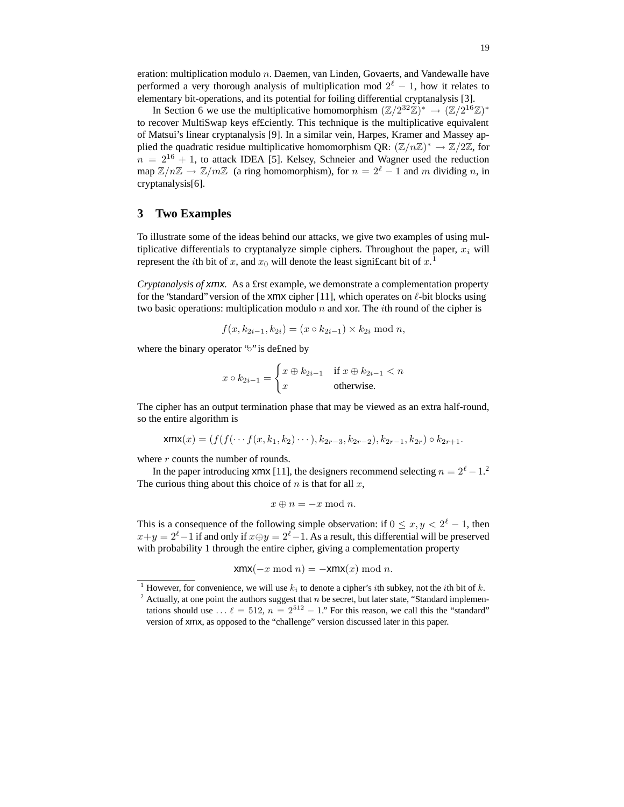eration: multiplication modulo n. Daemen, van Linden, Govaerts, and Vandewalle have performed a very thorough analysis of multiplication mod  $2^{\ell} - 1$ , how it relates to elementary bit-operations, and its potential for foiling differential cryptanalysis [3].

In Section 6 we use the multiplicative homomorphism  $(\mathbb{Z}/2^{32}\mathbb{Z})^* \to (\mathbb{Z}/2^{16}\mathbb{Z})^*$ to recover MultiSwap keys ef£ciently. This technique is the multiplicative equivalent of Matsui's linear cryptanalysis [9]. In a similar vein, Harpes, Kramer and Massey applied the quadratic residue multiplicative homomorphism QR:  $(\mathbb{Z}/n\mathbb{Z})^* \to \mathbb{Z}/2\mathbb{Z}$ , for  $n = 2^{16} + 1$ , to attack IDEA [5]. Kelsey, Schneier and Wagner used the reduction map  $\mathbb{Z}/n\mathbb{Z} \to \mathbb{Z}/m\mathbb{Z}$  (a ring homomorphism), for  $n = 2^{\ell} - 1$  and m dividing n, in cryptanalysis[6].

# **3 Two Examples**

To illustrate some of the ideas behind our attacks, we give two examples of using multiplicative differentials to cryptanalyze simple ciphers. Throughout the paper,  $x_i$  will represent the *i*th bit of x, and  $x_0$  will denote the least significant bit of  $x$ .<sup>1</sup>

*Cryptanalysis of* xmx*.* As a £rst example, we demonstrate a complementation property for the "standard" version of the xmx cipher [11], which operates on  $\ell$ -bit blocks using two basic operations: multiplication modulo  $n$  and xor. The *i*th round of the cipher is

$$
f(x, k_{2i-1}, k_{2i}) = (x \circ k_{2i-1}) \times k_{2i} \text{ mod } n,
$$

where the binary operator "o" is de£ned by

$$
x \circ k_{2i-1} = \begin{cases} x \oplus k_{2i-1} & \text{if } x \oplus k_{2i-1} < n \\ x & \text{otherwise.} \end{cases}
$$

The cipher has an output termination phase that may be viewed as an extra half-round, so the entire algorithm is

$$
\mathsf{xmx}(x) = (f(f(\cdots f(x, k_1, k_2) \cdots), k_{2r-3}, k_{2r-2}), k_{2r-1}, k_{2r}) \circ k_{2r+1}.
$$

where  $r$  counts the number of rounds.

In the paper introducing xmx [11], the designers recommend selecting  $n = 2^{\ell} - 1$ .<sup>2</sup> The curious thing about this choice of  $n$  is that for all  $x$ ,

$$
x \oplus n = -x \bmod n.
$$

This is a consequence of the following simple observation: if  $0 \le x, y < 2^{\ell} - 1$ , then  $x+y=2^{\ell}-1$  if and only if  $x\oplus y=2^{\ell}-1$ . As a result, this differential will be preserved with probability 1 through the entire cipher, giving a complementation property

$$
\mathsf{xmx}(-x \bmod n) = -\mathsf{xmx}(x) \bmod n.
$$

<sup>&</sup>lt;sup>1</sup> However, for convenience, we will use  $k_i$  to denote a cipher's *i*th subkey, not the *i*th bit of *k*.

 $2$  Actually, at one point the authors suggest that n be secret, but later state, "Standard implementations should use ...  $\ell = 512$ ,  $n = 2^{512} - 1$ ." For this reason, we call this the "standard" version of xmx, as opposed to the "challenge" version discussed later in this paper.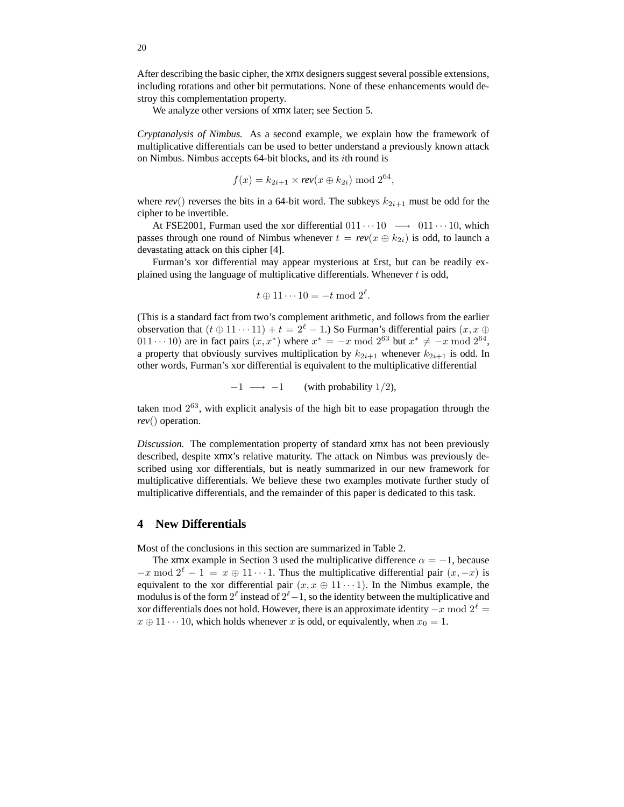After describing the basic cipher, the xmx designers suggest several possible extensions, including rotations and other bit permutations. None of these enhancements would destroy this complementation property.

We analyze other versions of xmx later; see Section 5.

*Cryptanalysis of Nimbus.* As a second example, we explain how the framework of multiplicative differentials can be used to better understand a previously known attack on Nimbus. Nimbus accepts 64-bit blocks, and its ith round is

$$
f(x) = k_{2i+1} \times rev(x \oplus k_{2i}) \bmod 2^{64},
$$

where  $rev()$  reverses the bits in a 64-bit word. The subkeys  $k_{2i+1}$  must be odd for the cipher to be invertible.

At FSE2001, Furman used the xor differential  $011 \cdots 10 \rightarrow 011 \cdots 10$ , which passes through one round of Nimbus whenever  $t = rev(x \oplus k_{2i})$  is odd, to launch a devastating attack on this cipher [4].

Furman's xor differential may appear mysterious at £rst, but can be readily explained using the language of multiplicative differentials. Whenever  $t$  is odd,

$$
t\oplus 11\cdots 10=-t\bmod 2^{\ell}.
$$

(This is a standard fact from two's complement arithmetic, and follows from the earlier observation that  $(t \oplus 11 \cdots 11) + t = 2^{\ell} - 1$ . So Furman's differential pairs  $(x, x \oplus$ 011 · · · 10) are in fact pairs  $(x, x^*)$  where  $x^* = -x \mod 2^{63}$  but  $x^* \neq -x \mod 2^{64}$ , a property that obviously survives multiplication by  $k_{2i+1}$  whenever  $k_{2i+1}$  is odd. In other words, Furman's xor differential is equivalent to the multiplicative differential

 $-1 \longrightarrow -1$  (with probability 1/2),

taken mod  $2^{63}$ , with explicit analysis of the high bit to ease propagation through the *rev*() operation.

*Discussion.* The complementation property of standard xmx has not been previously described, despite xmx's relative maturity. The attack on Nimbus was previously described using xor differentials, but is neatly summarized in our new framework for multiplicative differentials. We believe these two examples motivate further study of multiplicative differentials, and the remainder of this paper is dedicated to this task.

#### **4 New Differentials**

Most of the conclusions in this section are summarized in Table 2.

The xmx example in Section 3 used the multiplicative difference  $\alpha = -1$ , because  $-x \mod 2^{\ell} - 1 = x \oplus 11 \cdots 1$ . Thus the multiplicative differential pair  $(x, -x)$  is equivalent to the xor differential pair  $(x, x \oplus 11 \cdots 1)$ . In the Nimbus example, the modulus is of the form  $2^{\ell}$  instead of  $2^{\ell}-1$ , so the identity between the multiplicative and xor differentials does not hold. However, there is an approximate identity  $-x \bmod 2^\ell = 0$  $x \oplus 11 \cdots 10$ , which holds whenever x is odd, or equivalently, when  $x_0 = 1$ .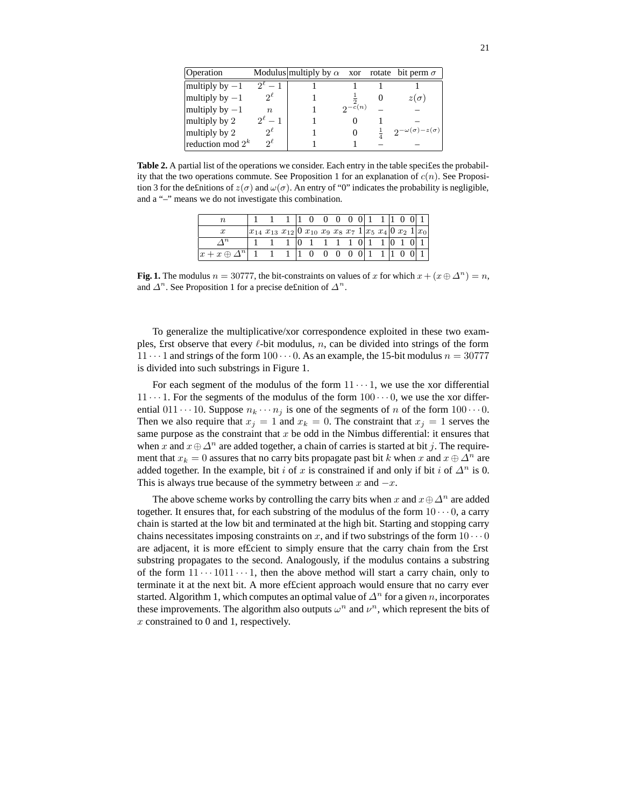| Operation           |                  | Modulus multiply by $\alpha$ xor rotate bit perm $\sigma$ |                        |                              |
|---------------------|------------------|-----------------------------------------------------------|------------------------|------------------------------|
| multiply by $-1$    | $2^{\ell}-1$     |                                                           |                        |                              |
| multiply by $-1$    | $2^{\ell}$       |                                                           |                        | $z(\sigma)$                  |
| multiply by $-1$    | $\boldsymbol{n}$ |                                                           | $2^{-\overline{c}(n)}$ |                              |
| multiply by 2       | $2^{\ell}-1$     |                                                           |                        |                              |
| multiply by 2       | $2^{\ell}$       |                                                           |                        | $2-\omega(\sigma)-z(\sigma)$ |
| reduction mod $2^k$ | $2^{\ell}$       |                                                           |                        |                              |

**Table 2.** A partial list of the operations we consider. Each entry in the table specifies the probability that the two operations commute. See Proposition 1 for an explanation of  $c(n)$ . See Proposition 3 for the definitions of  $z(\sigma)$  and  $\omega(\sigma)$ . An entry of "0" indicates the probability is negligible, and a "–" means we do not investigate this combination.

|                         |                                                                      |  |  |                   | $0 \t0 \t0 \t0 1$ |  | 110 |      |  |
|-------------------------|----------------------------------------------------------------------|--|--|-------------------|-------------------|--|-----|------|--|
| $\boldsymbol{x}$        | $ x_{14} x_{13} x_{12} 0 x_{10} x_9 x_8 x_7 1  x_5 x_4 0 x_2 1  x_0$ |  |  |                   |                   |  |     |      |  |
|                         |                                                                      |  |  |                   | 1 1 1 0 1         |  |     | 0101 |  |
| $x + x \oplus \Delta^n$ |                                                                      |  |  | $0\quad 0\quad 0$ |                   |  |     | 110  |  |

**Fig. 1.** The modulus  $n = 30777$ , the bit-constraints on values of x for which  $x + (x \oplus \Delta^n) = n$ , and  $\Delta^n$ . See Proposition 1 for a precise de£nition of  $\Delta^n$ .

To generalize the multiplicative/xor correspondence exploited in these two examples, £rst observe that every  $\ell$ -bit modulus, n, can be divided into strings of the form 11  $\cdots$  1 and strings of the form 100  $\cdots$  0. As an example, the 15-bit modulus  $n = 30777$ is divided into such substrings in Figure 1.

For each segment of the modulus of the form  $11 \cdots 1$ , we use the xor differential  $11 \cdots 1$ . For the segments of the modulus of the form  $100 \cdots 0$ , we use the xor differential 011  $\cdots$  10. Suppose  $n_k \cdots n_j$  is one of the segments of n of the form 100  $\cdots$  0. Then we also require that  $x_j = 1$  and  $x_k = 0$ . The constraint that  $x_j = 1$  serves the same purpose as the constraint that  $x$  be odd in the Nimbus differential: it ensures that when x and  $x \oplus \Delta^n$  are added together, a chain of carries is started at bit j. The requirement that  $x_k = 0$  assures that no carry bits propagate past bit k when x and  $x \oplus \Delta^n$  are added together. In the example, bit i of x is constrained if and only if bit i of  $\Delta^n$  is 0. This is always true because of the symmetry between  $x$  and  $-x$ .

The above scheme works by controlling the carry bits when x and  $x \oplus \Delta^n$  are added together. It ensures that, for each substring of the modulus of the form  $10 \cdots 0$ , a carry chain is started at the low bit and terminated at the high bit. Starting and stopping carry chains necessitates imposing constraints on x, and if two substrings of the form  $10 \cdots 0$ are adjacent, it is more ef£cient to simply ensure that the carry chain from the £rst substring propagates to the second. Analogously, if the modulus contains a substring of the form  $11 \cdots 1011 \cdots 1$ , then the above method will start a carry chain, only to terminate it at the next bit. A more ef£cient approach would ensure that no carry ever started. Algorithm 1, which computes an optimal value of  $\Delta^n$  for a given n, incorporates these improvements. The algorithm also outputs  $\omega^n$  and  $\nu^n$ , which represent the bits of x constrained to 0 and 1, respectively.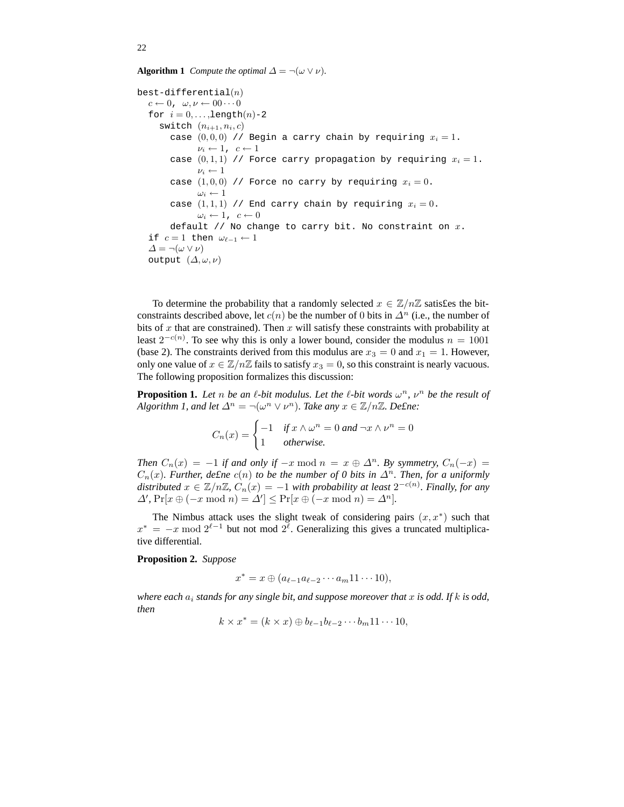**Algorithm 1** *Compute the optimal*  $\Delta = \neg(\omega \lor \nu)$ *.* 

best-differential $(n)$  $c \leftarrow 0$ ,  $\omega, \nu \leftarrow 00 \cdots 0$ for  $i = 0, \ldots, \text{length}(n) - 2$ switch  $(n_{i+1}, n_i, c)$ case  $(0, 0, 0)$  // Begin a carry chain by requiring  $x_i = 1$ .  $\nu_i \leftarrow 1, \quad c \leftarrow 1$ case  $(0, 1, 1)$  // Force carry propagation by requiring  $x_i = 1$ .  $\nu_i \leftarrow 1$ case  $(1, 0, 0)$  // Force no carry by requiring  $x_i = 0$ .  $\omega_i \leftarrow 1$ case  $(1, 1, 1)$  // End carry chain by requiring  $x_i = 0$ .  $\omega_i \leftarrow 1$ ,  $c \leftarrow 0$ default // No change to carry bit. No constraint on  $x$ . if  $c = 1$  then  $\omega_{\ell-1} \leftarrow 1$  $\Delta = \neg(\omega \vee \nu)$ output  $(\Delta, \omega, \nu)$ 

To determine the probability that a randomly selected  $x \in \mathbb{Z}/n\mathbb{Z}$  satisfies the bitconstraints described above, let  $c(n)$  be the number of 0 bits in  $\Delta^n$  (i.e., the number of bits of x that are constrained). Then x will satisfy these constraints with probability at least  $2^{-c(n)}$ . To see why this is only a lower bound, consider the modulus  $n = 1001$ (base 2). The constraints derived from this modulus are  $x_3 = 0$  and  $x_1 = 1$ . However, only one value of  $x \in \mathbb{Z}/n\mathbb{Z}$  fails to satisfy  $x_3 = 0$ , so this constraint is nearly vacuous. The following proposition formalizes this discussion:

**Proposition 1.** Let *n* be an  $\ell$ -bit modulus. Let the  $\ell$ -bit words  $\omega^n$ ,  $\nu^n$  be the result of *Algorithm 1, and let*  $\Delta^n = \neg(\omega^n \vee \nu^n)$ *. Take any*  $x \in \mathbb{Z}/n\mathbb{Z}$ *. Define:* 

$$
C_n(x) = \begin{cases} -1 & \text{if } x \wedge \omega^n = 0 \text{ and } \neg x \wedge \nu^n = 0\\ 1 & \text{otherwise.} \end{cases}
$$

*Then*  $C_n(x) = -1$  *if and only if*  $-x \mod n = x \oplus \Delta^n$ . By symmetry,  $C_n(-x) =$  $C_n(x)$ *. Further, define*  $c(n)$  *to be the number of* 0 *bits in*  $\Delta^n$ *. Then, for a uniformly* distributed  $x \in \mathbb{Z}/n\mathbb{Z}$ ,  $C_n(x) = -1$  with probability at least  $2^{-c(n)}$ . Finally, for any  $\Delta'$ , Pr[ $x \oplus (-x \mod n) = \Delta'$ ]  $\leq$  Pr[ $x \oplus (-x \mod n) = \Delta^n$ ].

The Nimbus attack uses the slight tweak of considering pairs  $(x, x^*)$  such that  $x^* = -x \mod 2^{\ell-1}$  but not mod  $2^{\ell}$ . Generalizing this gives a truncated multiplicative differential.

#### **Proposition 2.** *Suppose*

$$
x^* = x \oplus (a_{\ell-1}a_{\ell-2}\cdots a_m11\cdots 10),
$$

*where each* a<sup>i</sup> *stands for any single bit, and suppose moreover that* x *is odd. If* k *is odd, then*

$$
k \times x^* = (k \times x) \oplus b_{\ell-1}b_{\ell-2}\cdots b_m 11 \cdots 10,
$$

22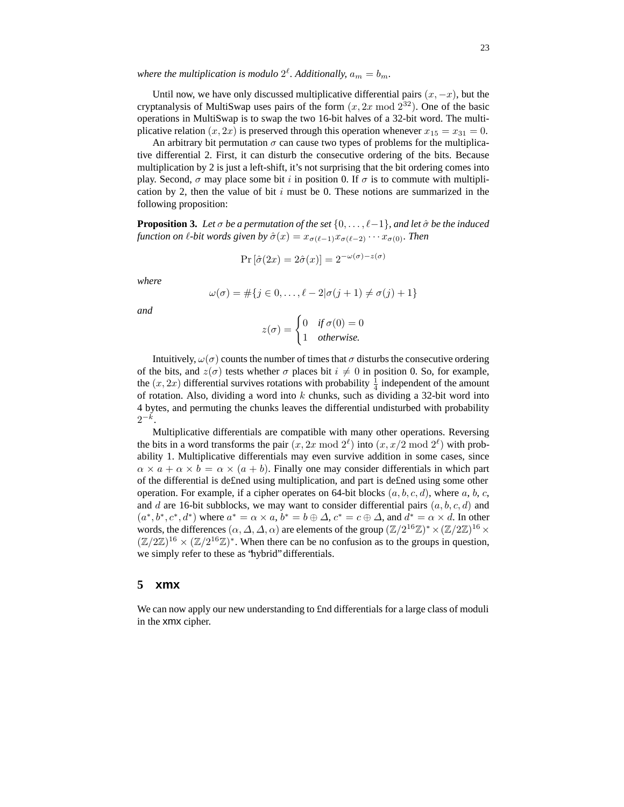where the multiplication is modulo  $2^{\ell}$ . Additionally,  $a_m = b_m$ .

Until now, we have only discussed multiplicative differential pairs  $(x, -x)$ , but the cryptanalysis of MultiSwap uses pairs of the form  $(x, 2x \mod 2^{32})$ . One of the basic operations in MultiSwap is to swap the two 16-bit halves of a 32-bit word. The multiplicative relation  $(x, 2x)$  is preserved through this operation whenever  $x_{15} = x_{31} = 0$ .

An arbitrary bit permutation  $\sigma$  can cause two types of problems for the multiplicative differential 2. First, it can disturb the consecutive ordering of the bits. Because multiplication by 2 is just a left-shift, it's not surprising that the bit ordering comes into play. Second,  $\sigma$  may place some bit i in position 0. If  $\sigma$  is to commute with multiplication by 2, then the value of bit  $i$  must be 0. These notions are summarized in the following proposition:

**Proposition 3.** *Let*  $\sigma$  *be a permutation of the set*  $\{0, \ldots, \ell-1\}$ *, and let*  $\hat{\sigma}$  *be the induced function on*  $\ell$ -*bit words given by*  $\hat{\sigma}(x) = x_{\sigma(\ell-1)}x_{\sigma(\ell-2)} \cdots x_{\sigma(0)}$ *. Then* 

$$
\Pr\left[\hat{\sigma}(2x) = 2\hat{\sigma}(x)\right] = 2^{-\omega(\sigma) - z(\sigma)}
$$

*where*

$$
\omega(\sigma) = \#\{j \in 0, \dots, \ell-2 | \sigma(j+1) \neq \sigma(j)+1\}
$$

*and*

$$
z(\sigma) = \begin{cases} 0 & \text{if } \sigma(0) = 0\\ 1 & \text{otherwise.} \end{cases}
$$

Intuitively,  $\omega(\sigma)$  counts the number of times that  $\sigma$  disturbs the consecutive ordering of the bits, and  $z(\sigma)$  tests whether  $\sigma$  places bit  $i \neq 0$  in position 0. So, for example, the  $(x, 2x)$  differential survives rotations with probability  $\frac{1}{4}$  independent of the amount of rotation. Also, dividing a word into  $k$  chunks, such as dividing a 32-bit word into 4 bytes, and permuting the chunks leaves the differential undisturbed with probability  $2^{-k}$ .

Multiplicative differentials are compatible with many other operations. Reversing the bits in a word transforms the pair  $(x, 2x \mod 2^{\ell})$  into  $(x, x/2 \mod 2^{\ell})$  with probability 1. Multiplicative differentials may even survive addition in some cases, since  $\alpha \times a + \alpha \times b = \alpha \times (a + b)$ . Finally one may consider differentials in which part of the differential is de£ned using multiplication, and part is de£ned using some other operation. For example, if a cipher operates on 64-bit blocks  $(a, b, c, d)$ , where a, b, c, and d are 16-bit subblocks, we may want to consider differential pairs  $(a, b, c, d)$  and  $(a^*,b^*,c^*,d^*)$  where  $a^* = \alpha \times a$ ,  $b^* = b \oplus \Delta$ ,  $c^* = c \oplus \Delta$ , and  $d^* = \alpha \times d$ . In other words, the differences  $(\alpha,\Delta,\Delta,\alpha)$  are elements of the group  $(\Z/2^{16}\Z)^*\times(\Z/2\Z)^{16}\times$  $(\mathbb{Z}/2\mathbb{Z})^{16} \times (\mathbb{Z}/2^{16}\mathbb{Z})^*$ . When there can be no confusion as to the groups in question, we simply refer to these as "hybrid" differentials.

### **5 xmx**

We can now apply our new understanding to find differentials for a large class of moduli in the xmx cipher.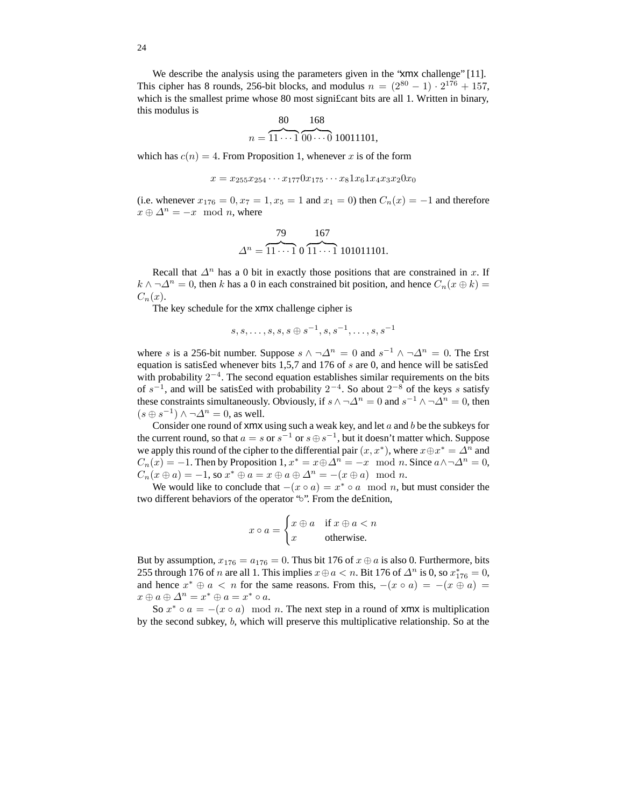We describe the analysis using the parameters given in the 'xmx challenge' [11]. This cipher has 8 rounds, 256-bit blocks, and modulus  $n = (2^{80} - 1) \cdot 2^{176} + 157$ , which is the smallest prime whose 80 most significant bits are all 1. Written in binary, this modulus is

80 168  

$$
n = 11 \cdots 1 \overbrace{00 \cdots 0}^{168} 10011101,
$$

which has  $c(n) = 4$ . From Proposition 1, whenever x is of the form

$$
x = x_{255}x_{254}\cdots x_{177}0x_{175}\cdots x_{8}1x_{6}1x_{4}x_{3}x_{2}0x_{0}
$$

(i.e. whenever  $x_{176} = 0, x_7 = 1, x_5 = 1$  and  $x_1 = 0$ ) then  $C_n(x) = -1$  and therefore  $x \oplus \Delta^n = -x \mod n$ , where

$$
\Delta^{n} = \overbrace{11\cdots 1}^{79} 0 \overbrace{11\cdots 1}^{167} 101011101.
$$

Recall that  $\Delta^n$  has a 0 bit in exactly those positions that are constrained in x. If  $k \wedge \neg \Delta^n = 0$ , then k has a 0 in each constrained bit position, and hence  $C_n(x \oplus k) =$  $C_n(x)$ .

The key schedule for the xmx challenge cipher is

$$
s, s, \ldots, s, s, s \oplus s^{-1}, s, s^{-1}, \ldots, s, s^{-1}
$$

where s is a 256-bit number. Suppose  $s \wedge \neg \Delta^n = 0$  and  $s^{-1} \wedge \neg \Delta^n = 0$ . The £rst equation is satisfed whenever bits  $1,5,7$  and  $176$  of s are 0, and hence will be satisfed with probability  $2^{-4}$ . The second equation establishes similar requirements on the bits of  $s^{-1}$ , and will be satisfed with probability  $2^{-4}$ . So about  $2^{-8}$  of the keys s satisfy these constraints simultaneously. Obviously, if  $s \wedge \neg \Delta^n = 0$  and  $s^{-1} \wedge \neg \Delta^n = 0$ , then  $(s \oplus s^{-1}) \wedge \neg \Delta^n = 0$ , as well.

Consider one round of  $xmx$  using such a weak key, and let  $a$  and  $b$  be the subkeys for the current round, so that  $a = s$  or  $s^{-1}$  or  $s \oplus s^{-1}$ , but it doesn't matter which. Suppose we apply this round of the cipher to the differential pair  $(x, x^*)$ , where  $x \oplus x^* = \Delta^n$  and  $C_n(x) = -1$ . Then by Proposition 1,  $x^* = x \oplus \Delta^n = -x \mod n$ . Since  $a \wedge \Delta^n = 0$ ,  $C_n(x \oplus a) = -1$ , so  $x^* \oplus a = x \oplus a \oplus \Delta^n = -(x \oplus a) \mod n$ .

We would like to conclude that  $-(x \circ a) = x^* \circ a \mod n$ , but must consider the two different behaviors of the operator "◦". From the de£nition,

$$
x \circ a = \begin{cases} x \oplus a & \text{if } x \oplus a < n \\ x & \text{otherwise.} \end{cases}
$$

But by assumption,  $x_{176} = a_{176} = 0$ . Thus bit 176 of  $x \oplus a$  is also 0. Furthermore, bits 255 through 176 of *n* are all 1. This implies  $x \oplus a < n$ . Bit 176 of  $\Delta^n$  is 0, so  $x^*_{176} = 0$ , and hence  $x^* \oplus a < n$  for the same reasons. From this,  $-(x \circ a) = -(x \oplus a) =$  $x \oplus a \oplus \Delta^n = x^* \oplus a = x^* \circ a.$ 

So  $x^* \circ a = -(x \circ a) \mod n$ . The next step in a round of xmx is multiplication by the second subkey, b, which will preserve this multiplicative relationship. So at the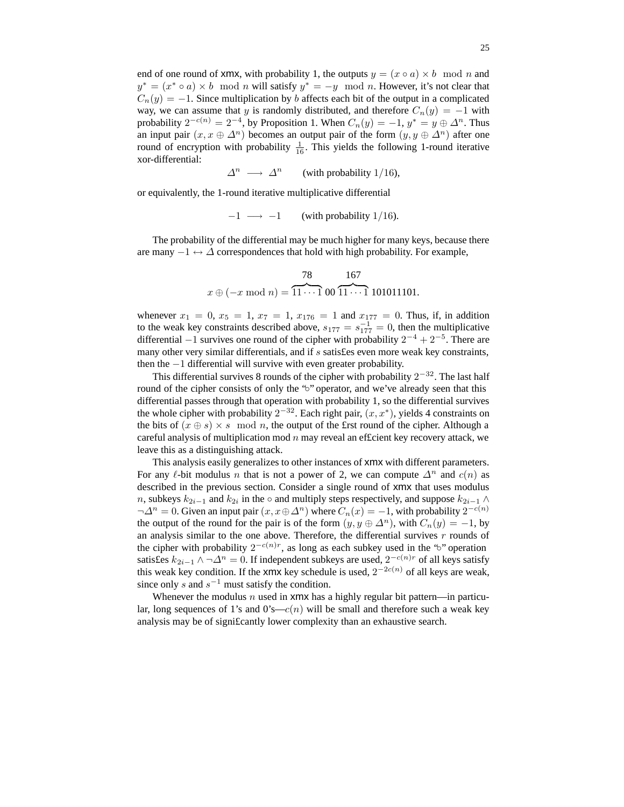end of one round of xmx, with probability 1, the outputs  $y = (x \circ a) \times b \mod n$  and  $y^* = (x^* \circ a) \times b \mod n$  will satisfy  $y^* = -y \mod n$ . However, it's not clear that  $C_n(y) = -1$ . Since multiplication by b affects each bit of the output in a complicated way, we can assume that y is randomly distributed, and therefore  $C_n(y) = -1$  with probability  $2^{-c(n)} = 2^{-4}$ , by Proposition 1. When  $C_n(y) = -1$ ,  $y^* = y \oplus \Delta^n$ . Thus an input pair  $(x, x \oplus \Delta^n)$  becomes an output pair of the form  $(y, y \oplus \Delta^n)$  after one round of encryption with probability  $\frac{1}{16}$ . This yields the following 1-round iterative xor-differential:

> $\Delta^n \longrightarrow \Delta^n$ (with probability 1/16),

or equivalently, the 1-round iterative multiplicative differential

 $-1 \longrightarrow -1$  (with probability 1/16).

The probability of the differential may be much higher for many keys, because there are many  $-1 \leftrightarrow \Delta$  correspondences that hold with high probability. For example,

$$
x \oplus (-x \bmod n) = \overbrace{11 \cdots 1}^{78} 00 \overbrace{11 \cdots 1}^{167} 101011101.
$$

whenever  $x_1 = 0$ ,  $x_5 = 1$ ,  $x_7 = 1$ ,  $x_{176} = 1$  and  $x_{177} = 0$ . Thus, if, in addition to the weak key constraints described above,  $s_{177} = s_{177}^{-1} = 0$ , then the multiplicative differential  $-1$  survives one round of the cipher with probability  $2^{-4} + 2^{-5}$ . There are many other very similar differentials, and if s satisfes even more weak key constraints, then the −1 differential will survive with even greater probability.

This differential survives 8 rounds of the cipher with probability  $2^{-32}$ . The last half round of the cipher consists of only the "◦" operator, and we've already seen that this differential passes through that operation with probability 1, so the differential survives the whole cipher with probability  $2^{-32}$ . Each right pair,  $(x, x^*)$ , yields 4 constraints on the bits of  $(x \oplus s) \times s \mod n$ , the output of the £rst round of the cipher. Although a careful analysis of multiplication mod  $n$  may reveal an efficient key recovery attack, we leave this as a distinguishing attack.

This analysis easily generalizes to other instances of xmx with different parameters. For any  $\ell$ -bit modulus n that is not a power of 2, we can compute  $\Delta^n$  and  $c(n)$  as described in the previous section. Consider a single round of xmx that uses modulus n, subkeys  $k_{2i-1}$  and  $k_{2i}$  in the ∘ and multiply steps respectively, and suppose  $k_{2i-1} \wedge$  $\neg \Delta^n = 0$ . Given an input pair  $(x, x \oplus \Delta^n)$  where  $C_n(x) = -1$ , with probability  $2^{-c(n)}$ the output of the round for the pair is of the form  $(y, y \oplus \Delta^n)$ , with  $C_n(y) = -1$ , by an analysis similar to the one above. Therefore, the differential survives  $r$  rounds of the cipher with probability  $2^{-c(n)r}$ , as long as each subkey used in the "°<sup>o</sup>" operation satis£es  $k_{2i-1}$  ∧ ¬ $\Delta^n = 0$ . If independent subkeys are used,  $2^{-c(n)r}$  of all keys satisfy this weak key condition. If the xmx key schedule is used,  $2^{-2c(n)}$  of all keys are weak, since only s and  $s^{-1}$  must satisfy the condition.

Whenever the modulus n used in  $xmx$  has a highly regular bit pattern—in particular, long sequences of 1's and  $0's\text{---}c(n)$  will be small and therefore such a weak key analysis may be of signi£cantly lower complexity than an exhaustive search.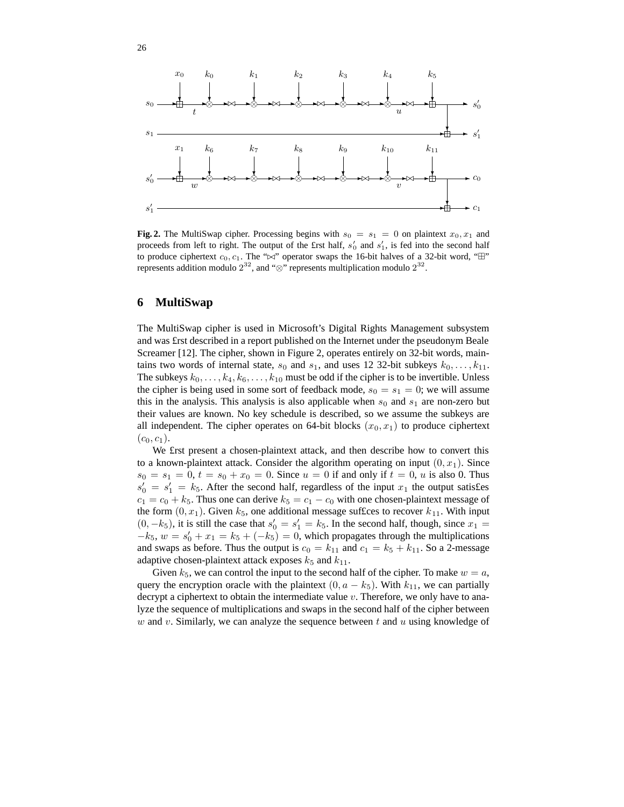

**Fig. 2.** The MultiSwap cipher. Processing begins with  $s_0 = s_1 = 0$  on plaintext  $x_0, x_1$  and proceeds from left to right. The output of the £rst half,  $s'_0$  and  $s'_1$ , is fed into the second half to produce ciphertext  $c_0, c_1$ . The " $\bowtie$ " operator swaps the 16-bit halves of a 32-bit word, " $\boxplus$ " represents addition modulo  $2^{32}$ , and "⊗" represents multiplication modulo  $2^{32}$ .

### **6 MultiSwap**

The MultiSwap cipher is used in Microsoft's Digital Rights Management subsystem and was £rst described in a report published on the Internet under the pseudonym Beale Screamer [12]. The cipher, shown in Figure 2, operates entirely on 32-bit words, maintains two words of internal state,  $s_0$  and  $s_1$ , and uses 12 32-bit subkeys  $k_0, \ldots, k_{11}$ . The subkeys  $k_0, \ldots, k_4, k_6, \ldots, k_{10}$  must be odd if the cipher is to be invertible. Unless the cipher is being used in some sort of feedback mode,  $s_0 = s_1 = 0$ ; we will assume this in the analysis. This analysis is also applicable when  $s_0$  and  $s_1$  are non-zero but their values are known. No key schedule is described, so we assume the subkeys are all independent. The cipher operates on 64-bit blocks  $(x_0, x_1)$  to produce ciphertext  $(c_0, c_1).$ 

We £rst present a chosen-plaintext attack, and then describe how to convert this to a known-plaintext attack. Consider the algorithm operating on input  $(0, x_1)$ . Since  $s_0 = s_1 = 0, t = s_0 + x_0 = 0$ . Since  $u = 0$  if and only if  $t = 0, u$  is also 0. Thus  $s'_0 = s'_1 = k_5$ . After the second half, regardless of the input  $x_1$  the output satisfies  $c_1 = c_0 + k_5$ . Thus one can derive  $k_5 = c_1 - c_0$  with one chosen-plaintext message of the form  $(0, x_1)$ . Given  $k_5$ , one additional message suffices to recover  $k_{11}$ . With input  $(0, -k_5)$ , it is still the case that  $s'_0 = s'_1 = k_5$ . In the second half, though, since  $x_1 =$  $-k_5$ ,  $w = s'_0 + x_1 = k_5 + (-k_5) = 0$ , which propagates through the multiplications and swaps as before. Thus the output is  $c_0 = k_{11}$  and  $c_1 = k_5 + k_{11}$ . So a 2-message adaptive chosen-plaintext attack exposes  $k_5$  and  $k_{11}$ .

Given  $k_5$ , we can control the input to the second half of the cipher. To make  $w = a$ , query the encryption oracle with the plaintext  $(0, a - k_5)$ . With  $k_{11}$ , we can partially decrypt a ciphertext to obtain the intermediate value  $v$ . Therefore, we only have to analyze the sequence of multiplications and swaps in the second half of the cipher between  $w$  and  $v$ . Similarly, we can analyze the sequence between  $t$  and  $u$  using knowledge of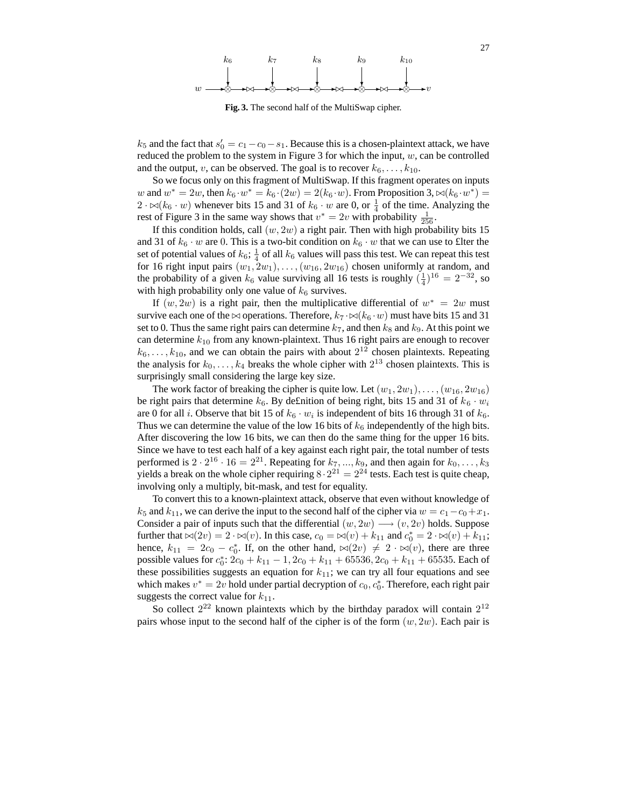

**Fig. 3.** The second half of the MultiSwap cipher.

 $k_5$  and the fact that  $s'_0 = c_1 - c_0 - s_1$ . Because this is a chosen-plaintext attack, we have reduced the problem to the system in Figure 3 for which the input,  $w$ , can be controlled and the output, v, can be observed. The goal is to recover  $k_6, \ldots, k_{10}$ .

So we focus only on this fragment of MultiSwap. If this fragment operates on inputs w and  $w^* = 2w$ , then  $k_6 \cdot w^* = k_6 \cdot (2w) = 2(k_6 \cdot w)$ . From Proposition 3,  $\bowtie (k_6 \cdot w^*) =$  $2 \cdot \bowtie (k_6 \cdot w)$  whenever bits 15 and 31 of  $k_6 \cdot w$  are 0, or  $\frac{1}{4}$  of the time. Analyzing the rest of Figure 3 in the same way shows that  $v^* = 2v$  with probability  $\frac{1}{256}$ .

If this condition holds, call  $(w, 2w)$  a right pair. Then with high probability bits 15 and 31 of  $k_6 \cdot w$  are 0. This is a two-bit condition on  $k_6 \cdot w$  that we can use to £lter the set of potential values of  $k_6$ ;  $\frac{1}{4}$  of all  $k_6$  values will pass this test. We can repeat this test for 16 right input pairs  $(w_1, 2w_1), \ldots, (w_{16}, 2w_{16})$  chosen uniformly at random, and the probability of a given  $k_6$  value surviving all 16 tests is roughly  $(\frac{1}{4})^{16} = 2^{-32}$ , so with high probability only one value of  $k_6$  survives.

If  $(w, 2w)$  is a right pair, then the multiplicative differential of  $w^* = 2w$  must survive each one of the  $\bowtie$  operations. Therefore,  $k_7 \cdot \bowtie (k_6 \cdot w)$  must have bits 15 and 31 set to 0. Thus the same right pairs can determine  $k_7$ , and then  $k_8$  and  $k_9$ . At this point we can determine  $k_{10}$  from any known-plaintext. Thus 16 right pairs are enough to recover  $k_6, \ldots, k_{10}$ , and we can obtain the pairs with about  $2^{12}$  chosen plaintexts. Repeating the analysis for  $k_0, \ldots, k_4$  breaks the whole cipher with  $2^{13}$  chosen plaintexts. This is surprisingly small considering the large key size.

The work factor of breaking the cipher is quite low. Let  $(w_1, 2w_1), \ldots, (w_{16}, 2w_{16})$ be right pairs that determine  $k_6$ . By de£nition of being right, bits 15 and 31 of  $k_6 \cdot w_i$ are 0 for all *i*. Observe that bit 15 of  $k_6 \cdot w_i$  is independent of bits 16 through 31 of  $k_6$ . Thus we can determine the value of the low 16 bits of  $k_6$  independently of the high bits. After discovering the low 16 bits, we can then do the same thing for the upper 16 bits. Since we have to test each half of a key against each right pair, the total number of tests performed is  $2 \cdot 2^{16} \cdot 16 = 2^{21}$ . Repeating for  $k_7, ..., k_9$ , and then again for  $k_0, ..., k_3$ yields a break on the whole cipher requiring  $8 \cdot 2^{21} = 2^{24}$  tests. Each test is quite cheap, involving only a multiply, bit-mask, and test for equality.

To convert this to a known-plaintext attack, observe that even without knowledge of  $k_5$  and  $k_{11}$ , we can derive the input to the second half of the cipher via  $w = c_1 - c_0 + x_1$ . Consider a pair of inputs such that the differential  $(w, 2w) \longrightarrow (v, 2v)$  holds. Suppose further that  $\bowtie(2v) = 2 \cdot \bowtie(v)$ . In this case,  $c_0 = \bowtie(v) + k_{11}$  and  $c_0^* = 2 \cdot \bowtie(v) + k_{11}$ ; hence,  $k_{11} = 2c_0 - c_0^*$ . If, on the other hand,  $\bowtie(2v) \neq 2 \cdot \bowtie(v)$ , there are three possible values for  $c_0^*$ :  $2c_0 + k_{11} - 1$ ,  $2c_0 + k_{11} + 65536$ ,  $2c_0 + k_{11} + 65535$ . Each of these possibilities suggests an equation for  $k_{11}$ ; we can try all four equations and see which makes  $v^* = 2v$  hold under partial decryption of  $c_0$ ,  $c_0^*$ . Therefore, each right pair suggests the correct value for  $k_{11}$ .

So collect  $2^{22}$  known plaintexts which by the birthday paradox will contain  $2^{12}$ pairs whose input to the second half of the cipher is of the form  $(w, 2w)$ . Each pair is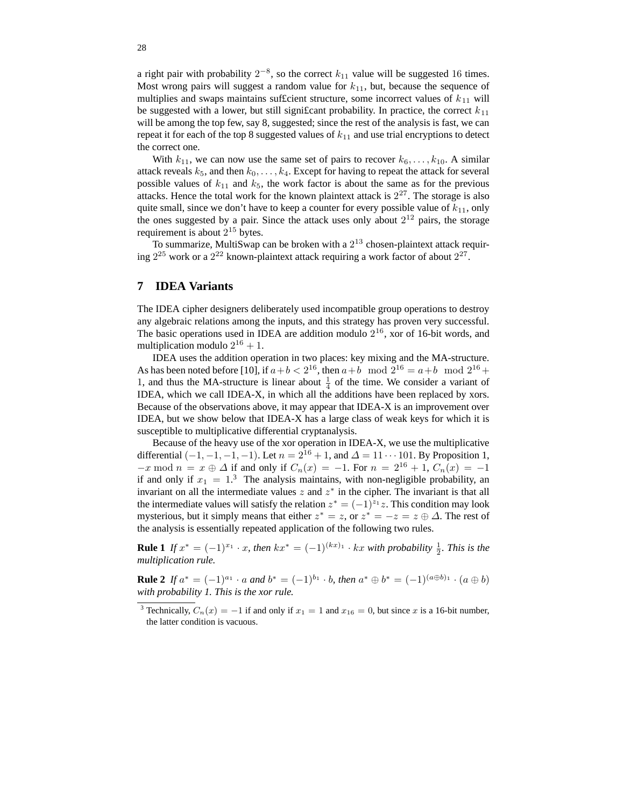a right pair with probability  $2^{-8}$ , so the correct  $k_{11}$  value will be suggested 16 times. Most wrong pairs will suggest a random value for  $k_{11}$ , but, because the sequence of multiplies and swaps maintains sufficient structure, some incorrect values of  $k_{11}$  will be suggested with a lower, but still significant probability. In practice, the correct  $k_{11}$ will be among the top few, say 8, suggested; since the rest of the analysis is fast, we can repeat it for each of the top 8 suggested values of  $k_{11}$  and use trial encryptions to detect the correct one.

With  $k_{11}$ , we can now use the same set of pairs to recover  $k_6, \ldots, k_{10}$ . A similar attack reveals  $k_5$ , and then  $k_0, \ldots, k_4$ . Except for having to repeat the attack for several possible values of  $k_{11}$  and  $k_5$ , the work factor is about the same as for the previous attacks. Hence the total work for the known plaintext attack is  $2^{27}$ . The storage is also quite small, since we don't have to keep a counter for every possible value of  $k_{11}$ , only the ones suggested by a pair. Since the attack uses only about  $2^{12}$  pairs, the storage requirement is about  $2^{15}$  bytes.

To summarize, MultiSwap can be broken with a  $2^{13}$  chosen-plaintext attack requiring  $2^{25}$  work or a  $2^{22}$  known-plaintext attack requiring a work factor of about  $2^{27}$ .

### **7 IDEA Variants**

The IDEA cipher designers deliberately used incompatible group operations to destroy any algebraic relations among the inputs, and this strategy has proven very successful. The basic operations used in IDEA are addition modulo  $2^{16}$ , xor of 16-bit words, and multiplication modulo  $2^{16} + 1$ .

IDEA uses the addition operation in two places: key mixing and the MA-structure. As has been noted before [10], if  $a+b < 2^{16}$ , then  $a+b \mod 2^{16} = a+b \mod 2^{16}$  + 1, and thus the MA-structure is linear about  $\frac{1}{4}$  of the time. We consider a variant of IDEA, which we call IDEA-X, in which all the additions have been replaced by xors. Because of the observations above, it may appear that IDEA-X is an improvement over IDEA, but we show below that IDEA-X has a large class of weak keys for which it is susceptible to multiplicative differential cryptanalysis.

Because of the heavy use of the xor operation in IDEA-X, we use the multiplicative differential  $(-1, -1, -1, -1)$ . Let  $n = 2^{16} + 1$ , and  $\Delta = 11 \cdots 101$ . By Proposition 1,  $-x \mod n = x \oplus \Delta$  if and only if  $C_n(x) = -1$ . For  $n = 2^{16} + 1$ ,  $C_n(x) = -1$ if and only if  $x_1 = 1$ .<sup>3</sup> The analysis maintains, with non-negligible probability, an invariant on all the intermediate values  $z$  and  $z^*$  in the cipher. The invariant is that all the intermediate values will satisfy the relation  $z^* = (-1)^{z_1} z$ . This condition may look mysterious, but it simply means that either  $z^* = z$ , or  $z^* = -z = z \oplus \Delta$ . The rest of the analysis is essentially repeated application of the following two rules.

**Rule 1** *If*  $x^* = (-1)^{x_1} \cdot x$ , *then*  $kx^* = (-1)^{(kx)_1} \cdot kx$  *with probability*  $\frac{1}{2}$ *. This is the multiplication rule.*

**Rule 2** If  $a^* = (-1)^{a_1} \cdot a$  and  $b^* = (-1)^{b_1} \cdot b$ , then  $a^* \oplus b^* = (-1)^{(a \oplus b)_1} \cdot (a \oplus b)$ *with probability 1. This is the xor rule.*

<sup>&</sup>lt;sup>3</sup> Technically,  $C_n(x) = -1$  if and only if  $x_1 = 1$  and  $x_{16} = 0$ , but since x is a 16-bit number, the latter condition is vacuous.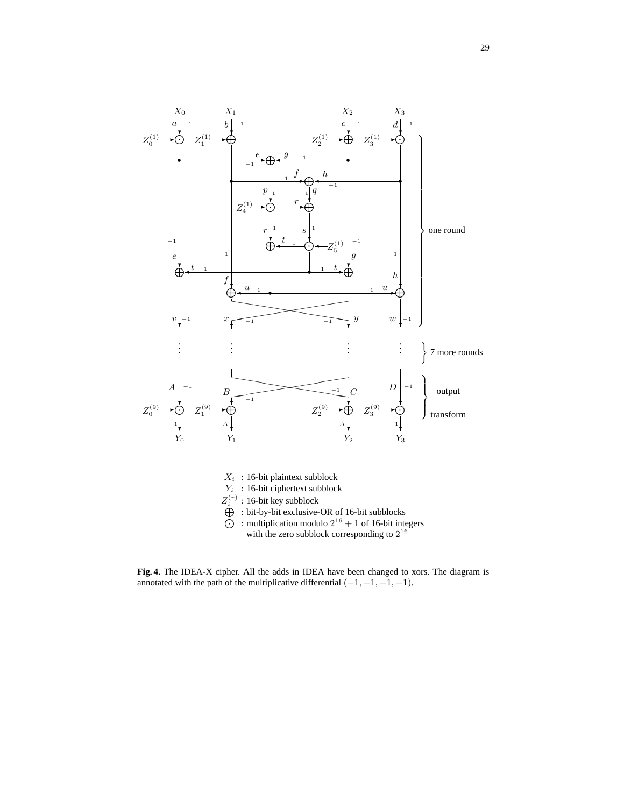

**Fig. 4.** The IDEA-X cipher. All the adds in IDEA have been changed to xors. The diagram is annotated with the path of the multiplicative differential  $(-1, -1, -1, -1)$ .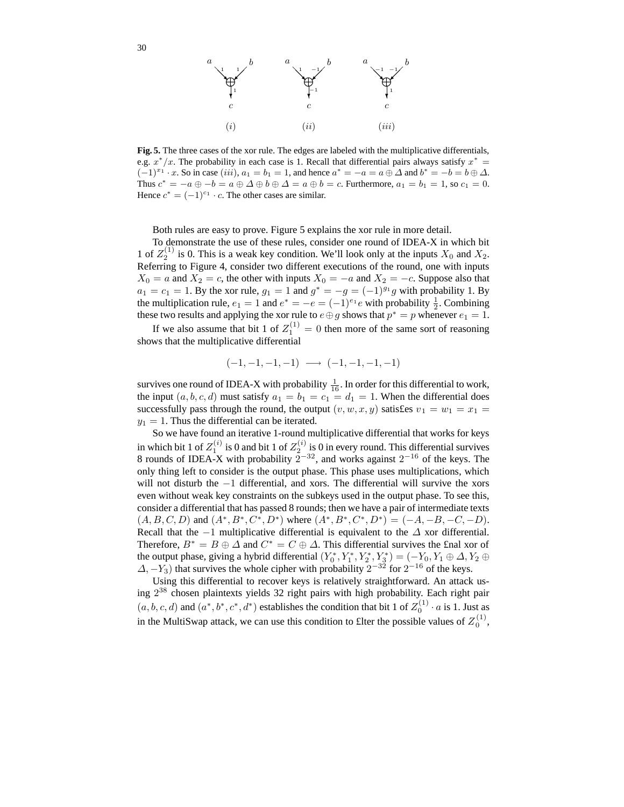

**Fig. 5.** The three cases of the xor rule. The edges are labeled with the multiplicative differentials, e.g.  $x^*/x$ . The probability in each case is 1. Recall that differential pairs always satisfy  $x^* =$  $(-1)^{x_1} \cdot x$ . So in case  $(iii)$ ,  $a_1 = b_1 = 1$ , and hence  $a^* = -a = a \oplus \Delta$  and  $b^* = -b = b \oplus \Delta$ . Thus  $c^* = -a \oplus -b = a \oplus \Delta \oplus b \oplus \Delta = a \oplus b = c$ . Furthermore,  $a_1 = b_1 = 1$ , so  $c_1 = 0$ . Hence  $c^* = (-1)^{c_1} \cdot c$ . The other cases are similar.

Both rules are easy to prove. Figure 5 explains the xor rule in more detail.

To demonstrate the use of these rules, consider one round of IDEA-X in which bit 1 of  $Z_2^{(1)}$  is 0. This is a weak key condition. We'll look only at the inputs  $X_0$  and  $X_2$ . Referring to Figure 4, consider two different executions of the round, one with inputs  $X_0 = a$  and  $X_2 = c$ , the other with inputs  $X_0 = -a$  and  $X_2 = -c$ . Suppose also that  $a_1 = c_1 = 1$ . By the xor rule,  $g_1 = 1$  and  $g^* = -g = (-1)^{g_1}g$  with probability 1. By the multiplication rule,  $e_1 = 1$  and  $e^* = -e = (-1)^{e_1}e$  with probability  $\frac{1}{2}$ . Combining these two results and applying the xor rule to  $e \oplus g$  shows that  $p^* = p$  whenever  $e_1 = 1$ .

If we also assume that bit 1 of  $Z_1^{(1)} = 0$  then more of the same sort of reasoning shows that the multiplicative differential

$$
(-1,-1,-1,-1) \longrightarrow (-1,-1,-1,-1)
$$

survives one round of IDEA-X with probability  $\frac{1}{16}$ . In order for this differential to work, the input  $(a, b, c, d)$  must satisfy  $a_1 = b_1 = c_1 = d_1 = 1$ . When the differential does successfully pass through the round, the output  $(v, w, x, y)$  satisfies  $v_1 = w_1 = x_1$  $y_1 = 1$ . Thus the differential can be iterated.

So we have found an iterative 1-round multiplicative differential that works for keys in which bit 1 of  $Z_1^{(i)}$  is 0 and bit 1 of  $Z_2^{(i)}$  is 0 in every round. This differential survives 8 rounds of IDEA-X with probability  $2^{-32}$ , and works against  $2^{-16}$  of the keys. The only thing left to consider is the output phase. This phase uses multiplications, which will not disturb the −1 differential, and xors. The differential will survive the xors even without weak key constraints on the subkeys used in the output phase. To see this, consider a differential that has passed 8 rounds; then we have a pair of intermediate texts  $(A, B, C, D)$  and  $(A^*, B^*, C^*, D^*)$  where  $(A^*, B^*, C^*, D^*) = (-A, -B, -C, -D)$ . Recall that the  $-1$  multiplicative differential is equivalent to the  $\Delta$  xor differential. Therefore,  $B^* = B \oplus \Delta$  and  $C^* = C \oplus \Delta$ . This differential survives the £nal xor of the output phase, giving a hybrid differential  $(Y_0^*, Y_1^*, Y_2^*, Y_3^*) = (-Y_0, Y_1 \oplus \Delta, Y_2 \oplus Y_3)$  $(\Delta, -Y_3)$  that survives the whole cipher with probability  $2^{-32}$  for  $2^{-16}$  of the keys.

Using this differential to recover keys is relatively straightforward. An attack using 2 <sup>38</sup> chosen plaintexts yields 32 right pairs with high probability. Each right pair  $(a, b, c, d)$  and  $(a^*, b^*, c^*, d^*)$  establishes the condition that bit 1 of  $Z_0^{(1)} \cdot a$  is 1. Just as in the MultiSwap attack, we can use this condition to £lter the possible values of  $Z_0^{(1)}$ ,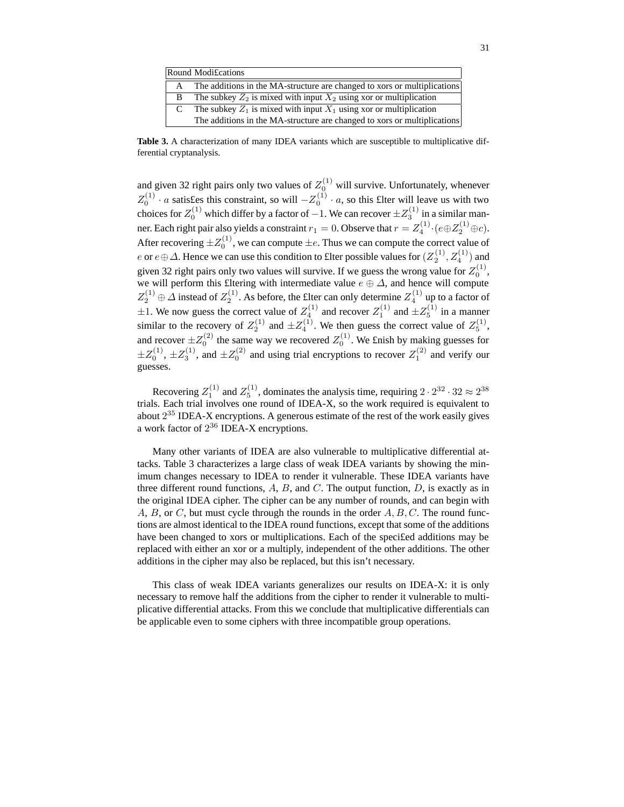|    | Round Modifications                                                      |
|----|--------------------------------------------------------------------------|
| A  | The additions in the MA-structure are changed to xors or multiplications |
| B. | The subkey $Z_2$ is mixed with input $X_2$ using xor or multiplication   |
|    | The subkey $Z_1$ is mixed with input $X_1$ using xor or multiplication   |
|    | The additions in the MA-structure are changed to xors or multiplications |

**Table 3.** A characterization of many IDEA variants which are susceptible to multiplicative differential cryptanalysis.

and given 32 right pairs only two values of  $Z_0^{(1)}$  will survive. Unfortunately, whenever  $Z_0^{(1)} \cdot a$  satisfes this constraint, so will  $-Z_0^{(1)} \cdot a$ , so this filter will leave us with two choices for  $Z_0^{(1)}$  which differ by a factor of  $-1$ . We can recover  $\pm Z_3^{(1)}$  in a similar manner. Each right pair also yields a constraint  $r_1 = 0$ . Observe that  $r = Z_4^{(1)} \cdot (e \oplus Z_2^{(1)} \oplus c)$ . After recovering  $\pm Z_0^{(1)}$ , we can compute  $\pm e$ . Thus we can compute the correct value of *e* or *e* ⊕ ∆. Hence we can use this condition to £lter possible values for  $(Z_2^{(1)}, Z_4^{(1)})$  and given 32 right pairs only two values will survive. If we guess the wrong value for  $Z_0^{(1)}$ , we will perform this £ltering with intermediate value  $e \oplus \Delta$ , and hence will compute  $Z_2^{(1)} \oplus \Delta$  instead of  $Z_2^{(1)}$ . As before, the £1ter can only determine  $Z_4^{(1)}$  up to a factor of  $\pm 1$ . We now guess the correct value of  $Z_4^{(1)}$  and recover  $Z_1^{(1)}$  and  $\pm Z_5^{(1)}$  in a manner similar to the recovery of  $Z_2^{(1)}$  and  $\pm Z_4^{(1)}$ . We then guess the correct value of  $Z_5^{(1)}$ , and recover  $\pm Z_0^{(2)}$  the same way we recovered  $Z_0^{(1)}$ . We £nish by making guesses for  $\pm Z_0^{(1)}$ ,  $\pm Z_3^{(1)}$ , and  $\pm Z_0^{(2)}$  and using trial encryptions to recover  $Z_1^{(2)}$  and verify our guesses.

Recovering  $Z_1^{(1)}$  and  $Z_5^{(1)}$ , dominates the analysis time, requiring  $2 \cdot 2^{32} \cdot 32 \approx 2^{38}$ trials. Each trial involves one round of IDEA-X, so the work required is equivalent to about  $2^{35}$  IDEA-X encryptions. A generous estimate of the rest of the work easily gives a work factor of  $2^{36}$  IDEA-X encryptions.

Many other variants of IDEA are also vulnerable to multiplicative differential attacks. Table 3 characterizes a large class of weak IDEA variants by showing the minimum changes necessary to IDEA to render it vulnerable. These IDEA variants have three different round functions,  $A$ ,  $B$ , and  $C$ . The output function,  $D$ , is exactly as in the original IDEA cipher. The cipher can be any number of rounds, and can begin with A, B, or C, but must cycle through the rounds in the order  $A, B, C$ . The round functions are almost identical to the IDEA round functions, except that some of the additions have been changed to xors or multiplications. Each of the speci£ed additions may be replaced with either an xor or a multiply, independent of the other additions. The other additions in the cipher may also be replaced, but this isn't necessary.

This class of weak IDEA variants generalizes our results on IDEA-X: it is only necessary to remove half the additions from the cipher to render it vulnerable to multiplicative differential attacks. From this we conclude that multiplicative differentials can be applicable even to some ciphers with three incompatible group operations.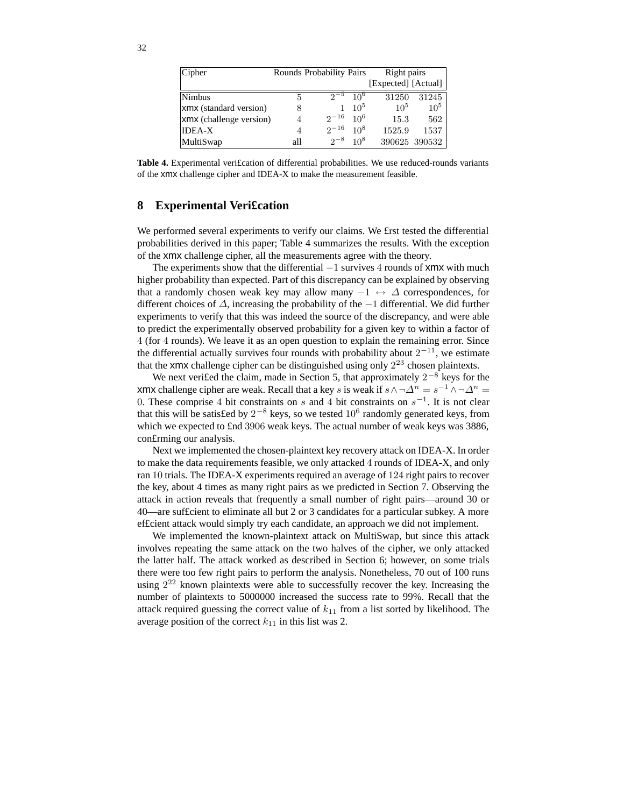| Cipher                  | Rounds Probability Pairs |                           |                | Right pairs         |               |  |  |
|-------------------------|--------------------------|---------------------------|----------------|---------------------|---------------|--|--|
|                         |                          |                           |                | [Expected] [Actual] |               |  |  |
| Nimbus                  | 5                        | $2^{-5}$ 10 <sup>6</sup>  |                | 31250               | 31245         |  |  |
| xmx (standard version)  | 8                        |                           | $1 \quad 10^5$ | $10^{5}$            | $10^{5}$      |  |  |
| xmx (challenge version) | 4                        | $2^{-16}$ 10 <sup>6</sup> |                | 15.3                | 562           |  |  |
| <b>IDEA-X</b>           | 4                        | $2^{-16}$ 10 <sup>8</sup> |                | 1525.9              | 1537          |  |  |
| MultiSwap               | all                      | $2^{-8}$ 10 <sup>8</sup>  |                |                     | 390625 390532 |  |  |

Table 4. Experimental veri£cation of differential probabilities. We use reduced-rounds variants of the xmx challenge cipher and IDEA-X to make the measurement feasible.

### **8 Experimental Veri£cation**

We performed several experiments to verify our claims. We £rst tested the differential probabilities derived in this paper; Table 4 summarizes the results. With the exception of the xmx challenge cipher, all the measurements agree with the theory.

The experiments show that the differential  $-1$  survives 4 rounds of xmx with much higher probability than expected. Part of this discrepancy can be explained by observing that a randomly chosen weak key may allow many  $-1 \leftrightarrow \Delta$  correspondences, for different choices of  $\Delta$ , increasing the probability of the  $-1$  differential. We did further experiments to verify that this was indeed the source of the discrepancy, and were able to predict the experimentally observed probability for a given key to within a factor of 4 (for 4 rounds). We leave it as an open question to explain the remaining error. Since the differential actually survives four rounds with probability about  $2^{-11}$ , we estimate that the xmx challenge cipher can be distinguished using only  $2^{23}$  chosen plaintexts.

We next veri£ed the claim, made in Section 5, that approximately  $2^{-8}$  keys for the xmx challenge cipher are weak. Recall that a key s is weak if  $s \wedge \neg \Delta^n = s^{-1} \wedge \neg \Delta^n = s$ 0. These comprise 4 bit constraints on s and 4 bit constraints on  $s^{-1}$ . It is not clear that this will be satis£ed by  $2^{-8}$  keys, so we tested  $10^6$  randomly generated keys, from which we expected to £nd 3906 weak keys. The actual number of weak keys was 3886, con£rming our analysis.

Next we implemented the chosen-plaintext key recovery attack on IDEA-X. In order to make the data requirements feasible, we only attacked 4 rounds of IDEA-X, and only ran 10 trials. The IDEA-X experiments required an average of 124 right pairs to recover the key, about 4 times as many right pairs as we predicted in Section 7. Observing the attack in action reveals that frequently a small number of right pairs—around 30 or 40—are suf£cient to eliminate all but 2 or 3 candidates for a particular subkey. A more ef£cient attack would simply try each candidate, an approach we did not implement.

We implemented the known-plaintext attack on MultiSwap, but since this attack involves repeating the same attack on the two halves of the cipher, we only attacked the latter half. The attack worked as described in Section 6; however, on some trials there were too few right pairs to perform the analysis. Nonetheless, 70 out of 100 runs using  $2^{22}$  known plaintexts were able to successfully recover the key. Increasing the number of plaintexts to 5000000 increased the success rate to 99%. Recall that the attack required guessing the correct value of  $k_{11}$  from a list sorted by likelihood. The average position of the correct  $k_{11}$  in this list was 2.